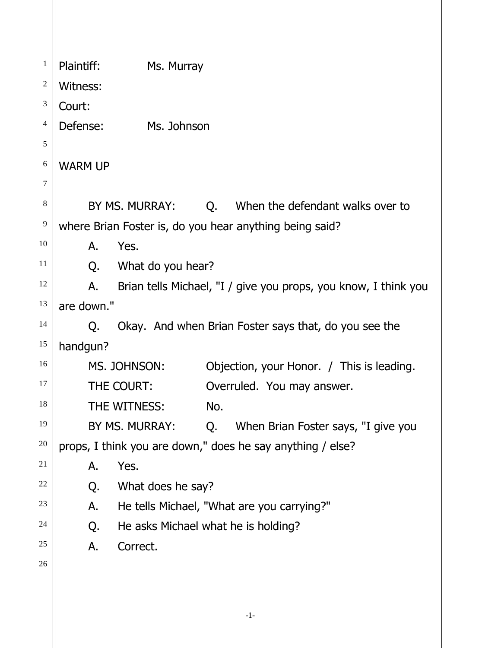| 1              | Plaintiff:<br>Ms. Murray                                              |  |
|----------------|-----------------------------------------------------------------------|--|
| 2              | Witness:                                                              |  |
| $\mathfrak{Z}$ | Court:                                                                |  |
| 4              | Defense:<br>Ms. Johnson                                               |  |
| 5              |                                                                       |  |
| 6              | <b>WARM UP</b>                                                        |  |
| 7              |                                                                       |  |
| $\,8\,$        | BY MS. MURRAY:<br>Q. When the defendant walks over to                 |  |
| 9              | where Brian Foster is, do you hear anything being said?               |  |
| 10             | Yes.<br>А.                                                            |  |
| 11             | What do you hear?<br>Q.                                               |  |
| 12             | Brian tells Michael, "I / give you props, you know, I think you<br>Α. |  |
| 13             | are down."                                                            |  |
| 14             | Okay. And when Brian Foster says that, do you see the<br>Q.           |  |
| 15             | handgun?                                                              |  |
| 16             | MS. JOHNSON:<br>Objection, your Honor. / This is leading.             |  |
| 17             | THE COURT:<br>Overruled. You may answer.                              |  |
| 18             | THE WITNESS:<br>No.                                                   |  |
| 19             | BY MS. MURRAY:<br>When Brian Foster says, "I give you<br>Q.           |  |
| 20             | props, I think you are down," does he say anything / else?            |  |
| 21             | Yes.<br>А.                                                            |  |
| 22             | What does he say?<br>Q.                                               |  |
| 23             | He tells Michael, "What are you carrying?"<br>А.                      |  |
| 24             | He asks Michael what he is holding?<br>Q.                             |  |
| 25             | Correct.<br>А.                                                        |  |
| 26             |                                                                       |  |
|                |                                                                       |  |
|                |                                                                       |  |

-1-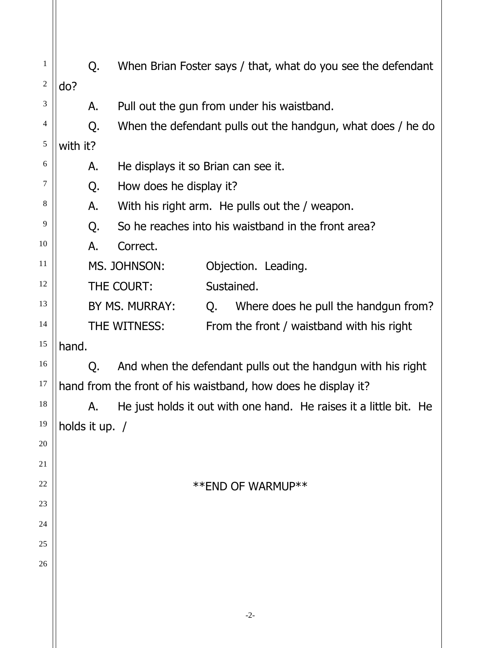| $\mathbf{1}$<br>$\overline{c}$ | do?            | Q. |                                     |            | When Brian Foster says / that, what do you see the defendant      |
|--------------------------------|----------------|----|-------------------------------------|------------|-------------------------------------------------------------------|
| 3                              |                |    |                                     |            |                                                                   |
| 4                              |                | А. |                                     |            | Pull out the gun from under his waistband.                        |
| $\sqrt{5}$                     |                | Q. |                                     |            | When the defendant pulls out the handgun, what does / he do       |
|                                | with it?       |    |                                     |            |                                                                   |
| 6                              |                | А. | He displays it so Brian can see it. |            |                                                                   |
| 7                              |                | Q. | How does he display it?             |            |                                                                   |
| 8                              |                | А. |                                     |            | With his right arm. He pulls out the / weapon.                    |
| 9                              |                | Q. |                                     |            | So he reaches into his waistband in the front area?               |
| 10                             |                | А. | Correct.                            |            |                                                                   |
| 11                             |                |    | MS. JOHNSON:                        |            | Objection. Leading.                                               |
| 12                             |                |    | THE COURT:                          | Sustained. |                                                                   |
| 13                             |                |    | BY MS. MURRAY:                      | Q.         | Where does he pull the handgun from?                              |
| 14                             |                |    | THE WITNESS:                        |            | From the front / waistband with his right                         |
| 15                             | hand.          |    |                                     |            |                                                                   |
| 16                             |                | Q. |                                     |            | And when the defendant pulls out the handgun with his right       |
| 17                             |                |    |                                     |            | hand from the front of his waistband, how does he display it?     |
| 18                             |                | А. |                                     |            | He just holds it out with one hand. He raises it a little bit. He |
| 19                             | holds it up. / |    |                                     |            |                                                                   |
| 20                             |                |    |                                     |            |                                                                   |
| 21                             |                |    |                                     |            |                                                                   |
| 22                             |                |    |                                     |            | **END OF WARMUP**                                                 |
| 23                             |                |    |                                     |            |                                                                   |
| 24                             |                |    |                                     |            |                                                                   |
| 25                             |                |    |                                     |            |                                                                   |
| 26                             |                |    |                                     |            |                                                                   |
|                                |                |    |                                     |            |                                                                   |
|                                |                |    |                                     |            |                                                                   |
|                                |                |    |                                     |            | $-2-$                                                             |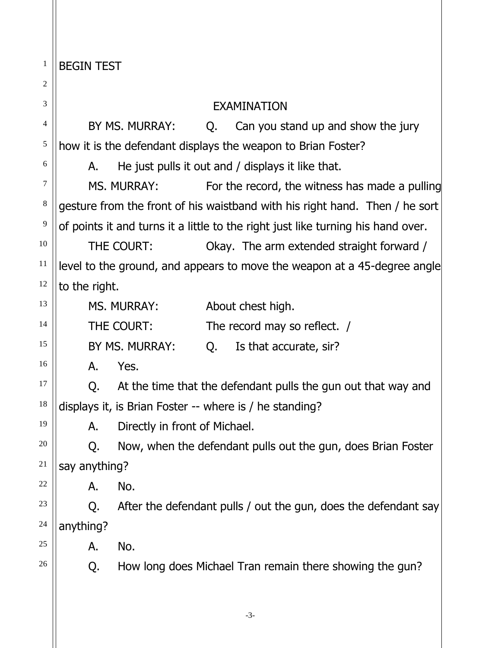1 BEGIN TEST

| 2       |               |                               |    |                                                                                  |  |  |
|---------|---------------|-------------------------------|----|----------------------------------------------------------------------------------|--|--|
| 3       |               | <b>EXAMINATION</b>            |    |                                                                                  |  |  |
| 4       |               | BY MS. MURRAY:                | Q. | Can you stand up and show the jury                                               |  |  |
| 5       |               |                               |    | how it is the defendant displays the weapon to Brian Foster?                     |  |  |
| 6       | А.            |                               |    | He just pulls it out and / displays it like that.                                |  |  |
| 7       |               | MS. MURRAY:                   |    | For the record, the witness has made a pulling                                   |  |  |
| $\,8\,$ |               |                               |    | gesture from the front of his waistband with his right hand. Then / he sort      |  |  |
| 9       |               |                               |    | of points it and turns it a little to the right just like turning his hand over. |  |  |
| 10      |               | THE COURT:                    |    | Okay. The arm extended straight forward /                                        |  |  |
| 11      |               |                               |    | level to the ground, and appears to move the weapon at a 45-degree angle         |  |  |
| 12      | to the right. |                               |    |                                                                                  |  |  |
| 13      |               | MS. MURRAY:                   |    | About chest high.                                                                |  |  |
| 14      |               | THE COURT:                    |    | The record may so reflect. /                                                     |  |  |
| 15      |               | BY MS. MURRAY:                | Q. | Is that accurate, sir?                                                           |  |  |
| 16      | А.            | Yes.                          |    |                                                                                  |  |  |
| 17      | Q.            |                               |    | At the time that the defendant pulls the gun out that way and                    |  |  |
| 18      |               |                               |    | displays it, is Brian Foster -- where is / he standing?                          |  |  |
| 19      | Α.            | Directly in front of Michael. |    |                                                                                  |  |  |
| 20      |               |                               |    | Now, when the defendant pulls out the gun, does Brian Foster                     |  |  |
| 21      | say anything? |                               |    |                                                                                  |  |  |
| 22      | A.            | No.                           |    |                                                                                  |  |  |
| 23      | Q.            |                               |    | After the defendant pulls / out the gun, does the defendant say                  |  |  |
| 24      | anything?     |                               |    |                                                                                  |  |  |
| 25      | А.            | No.                           |    |                                                                                  |  |  |
| 26      | Q.            |                               |    | How long does Michael Tran remain there showing the gun?                         |  |  |
|         |               |                               |    |                                                                                  |  |  |
|         |               |                               |    | $-3-$                                                                            |  |  |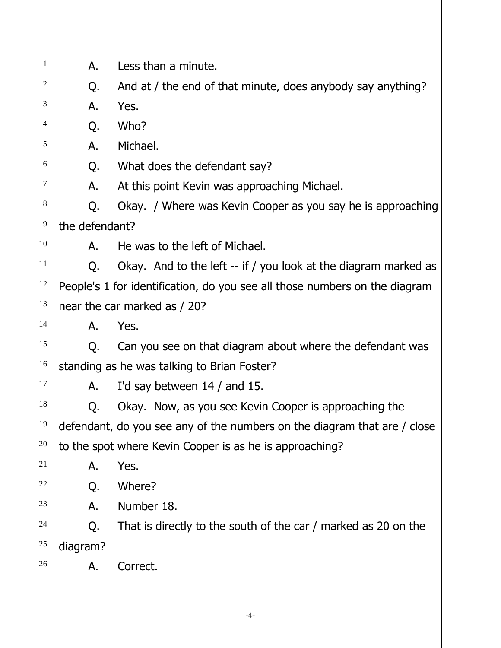| 1  | А.             | Less than a minute.                                                        |
|----|----------------|----------------------------------------------------------------------------|
| 2  | Q.             | And at / the end of that minute, does anybody say anything?                |
| 3  | Α.             | Yes.                                                                       |
| 4  | Q.             | Who?                                                                       |
| 5  | А.             | Michael.                                                                   |
| 6  | Q.             | What does the defendant say?                                               |
| 7  | Α.             | At this point Kevin was approaching Michael.                               |
| 8  | Q.             | Okay. / Where was Kevin Cooper as you say he is approaching                |
| 9  | the defendant? |                                                                            |
| 10 | А.             | He was to the left of Michael.                                             |
| 11 | Q.             | Okay. And to the left -- if / you look at the diagram marked as            |
| 12 |                | People's 1 for identification, do you see all those numbers on the diagram |
| 13 |                | near the car marked as / 20?                                               |
| 14 | А.             | Yes.                                                                       |
| 15 | Q.             | Can you see on that diagram about where the defendant was                  |
| 16 |                | standing as he was talking to Brian Foster?                                |
| 17 | А.             | I'd say between $14/$ and 15.                                              |
| 18 |                | Okay. Now, as you see Kevin Cooper is approaching the                      |
| 19 |                | defendant, do you see any of the numbers on the diagram that are / close   |
| 20 |                | to the spot where Kevin Cooper is as he is approaching?                    |
| 21 | A.             | Yes.                                                                       |
| 22 | Q.             | Where?                                                                     |
| 23 | А.             | Number 18.                                                                 |
| 24 | Q.             | That is directly to the south of the car / marked as 20 on the             |
| 25 | diagram?       |                                                                            |
| 26 | Α.             | Correct.                                                                   |
|    |                |                                                                            |
|    |                | -4-                                                                        |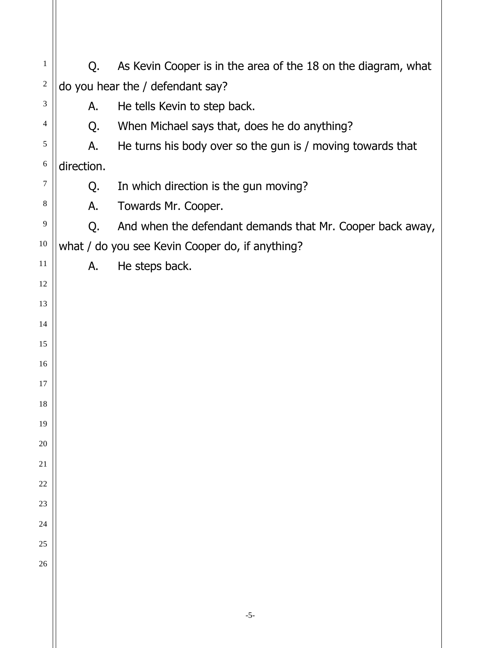| $\mathbf{1}$   | Q.                               | As Kevin Cooper is in the area of the 18 on the diagram, what |  |  |  |  |
|----------------|----------------------------------|---------------------------------------------------------------|--|--|--|--|
| $\sqrt{2}$     | do you hear the / defendant say? |                                                               |  |  |  |  |
| 3              | Α.                               | He tells Kevin to step back.                                  |  |  |  |  |
| $\overline{4}$ | Q.                               | When Michael says that, does he do anything?                  |  |  |  |  |
| 5              | А.                               | He turns his body over so the gun is / moving towards that    |  |  |  |  |
| 6              | direction.                       |                                                               |  |  |  |  |
| 7              | Q.                               | In which direction is the gun moving?                         |  |  |  |  |
| $\,8\,$        | А.                               | Towards Mr. Cooper.                                           |  |  |  |  |
| 9              | Q.                               | And when the defendant demands that Mr. Cooper back away,     |  |  |  |  |
| 10             |                                  | what / do you see Kevin Cooper do, if anything?               |  |  |  |  |
| 11             | А.                               | He steps back.                                                |  |  |  |  |
| 12             |                                  |                                                               |  |  |  |  |
| 13             |                                  |                                                               |  |  |  |  |
| 14             |                                  |                                                               |  |  |  |  |
| 15             |                                  |                                                               |  |  |  |  |
| 16             |                                  |                                                               |  |  |  |  |
| 17             |                                  |                                                               |  |  |  |  |
| 18             |                                  |                                                               |  |  |  |  |
| 19             |                                  |                                                               |  |  |  |  |
| 20             |                                  |                                                               |  |  |  |  |
| 21             |                                  |                                                               |  |  |  |  |
| 22             |                                  |                                                               |  |  |  |  |
| 23             |                                  |                                                               |  |  |  |  |
| 24             |                                  |                                                               |  |  |  |  |
| 25             |                                  |                                                               |  |  |  |  |
| 26             |                                  |                                                               |  |  |  |  |
|                |                                  |                                                               |  |  |  |  |
|                |                                  |                                                               |  |  |  |  |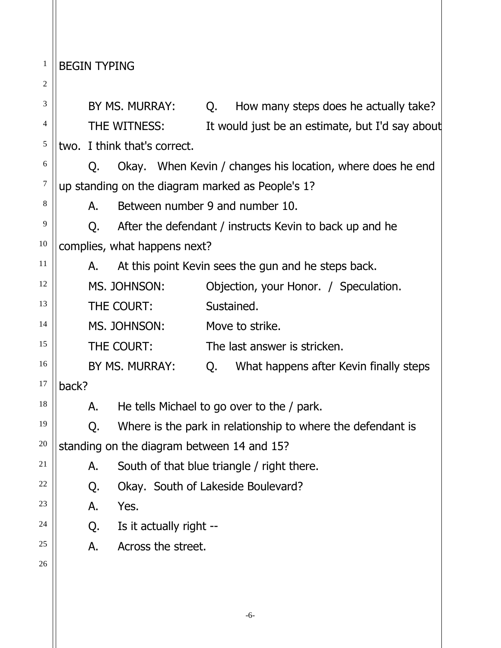1 **BEGIN TYPING** 

| 2             |              |                                            |    |                                                             |
|---------------|--------------|--------------------------------------------|----|-------------------------------------------------------------|
| 3             |              | BY MS. MURRAY:                             | Q. | How many steps does he actually take?                       |
| 4             | THE WITNESS: |                                            |    | It would just be an estimate, but I'd say about             |
| $\mathfrak s$ |              | two. I think that's correct.               |    |                                                             |
| 6             | Q.           |                                            |    | Okay. When Kevin / changes his location, where does he end  |
| $\tau$        |              |                                            |    | up standing on the diagram marked as People's 1?            |
| 8             | А.           | Between number 9 and number 10.            |    |                                                             |
| 9             | Q.           |                                            |    | After the defendant / instructs Kevin to back up and he     |
| 10            |              | complies, what happens next?               |    |                                                             |
| 11            | А.           |                                            |    | At this point Kevin sees the gun and he steps back.         |
| 12            |              | MS. JOHNSON:                               |    | Objection, your Honor. / Speculation.                       |
| 13            |              | THE COURT:                                 |    | Sustained.                                                  |
| 14            |              | MS. JOHNSON:                               |    | Move to strike.                                             |
| 15            |              | THE COURT:                                 |    | The last answer is stricken.                                |
| 16            |              | BY MS. MURRAY:                             | Q. | What happens after Kevin finally steps                      |
| 17            | back?        |                                            |    |                                                             |
| 18            | Α.           |                                            |    | He tells Michael to go over to the / park.                  |
| 19            | Q.           |                                            |    | Where is the park in relationship to where the defendant is |
| $20\,$        |              | standing on the diagram between 14 and 15? |    |                                                             |
| 21            | А.           |                                            |    | South of that blue triangle / right there.                  |
| 22            | Q.           | Okay. South of Lakeside Boulevard?         |    |                                                             |
| 23            | А.           | Yes.                                       |    |                                                             |
| 24            | Q.           | Is it actually right --                    |    |                                                             |
| 25            | А.           | Across the street.                         |    |                                                             |
| 26            |              |                                            |    |                                                             |
|               |              |                                            |    |                                                             |
|               |              |                                            |    | $-6-$                                                       |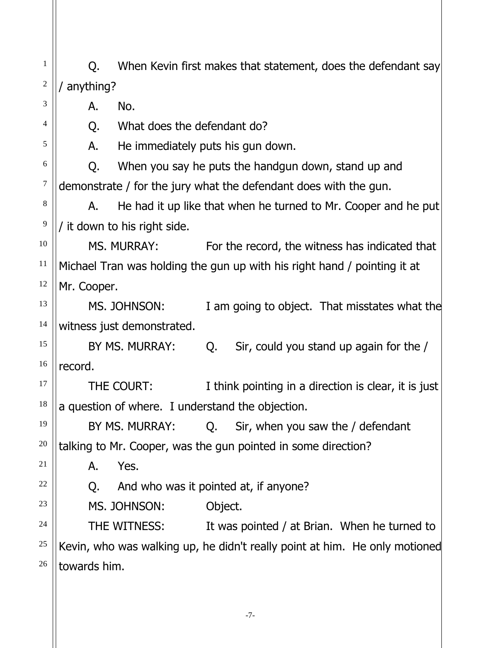1 2 3 4 5 6 7 8 9 10 11 12 13 14 15 Q. When Kevin first makes that statement, does the defendant say / anything? A. No. Q. What does the defendant do? A. He immediately puts his gun down. Q. When you say he puts the handgun down, stand up and demonstrate / for the jury what the defendant does with the gun. A. He had it up like that when he turned to Mr. Cooper and he put / it down to his right side. MS. MURRAY: For the record, the witness has indicated that Michael Tran was holding the gun up with his right hand / pointing it at Mr. Cooper. MS. JOHNSON: I am going to object. That misstates what the witness just demonstrated.

BY MS. MURRAY: Q. Sir, could you stand up again for the / record.

THE COURT: I think pointing in a direction is clear, it is just a question of where. I understand the objection.

BY MS. MURRAY: Q. Sir, when you saw the / defendant talking to Mr. Cooper, was the gun pointed in some direction?

A. Yes.

16

17

18

19

20

21

22

23

24

25

26

Q. And who was it pointed at, if anyone?

MS. JOHNSON: Object.

THE WITNESS: It was pointed / at Brian. When he turned to Kevin, who was walking up, he didn't really point at him. He only motioned towards him.

-7-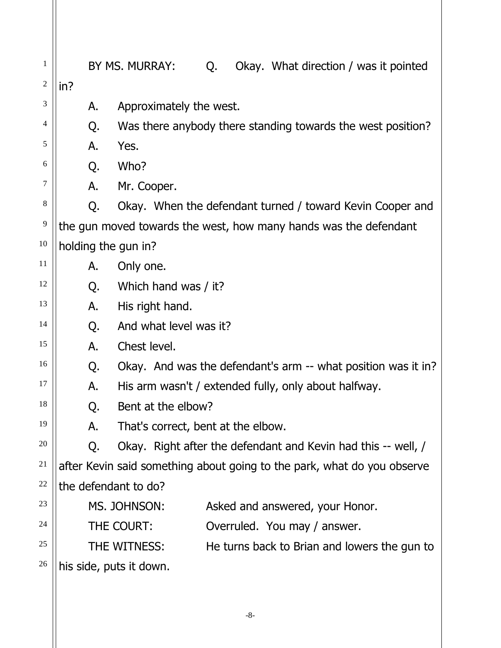| 1              |                      | BY MS. MURRAY:<br>Q.               | Okay. What direction / was it pointed                                   |
|----------------|----------------------|------------------------------------|-------------------------------------------------------------------------|
| $\overline{c}$ | in?                  |                                    |                                                                         |
| 3              | Α.                   | Approximately the west.            |                                                                         |
| 4              | Q.                   |                                    | Was there anybody there standing towards the west position?             |
| 5              | А.                   | Yes.                               |                                                                         |
| 6              | Q.                   | Who?                               |                                                                         |
| 7              | А.                   | Mr. Cooper.                        |                                                                         |
| 8              | Q.                   |                                    | Okay. When the defendant turned / toward Kevin Cooper and               |
| 9              |                      |                                    | the gun moved towards the west, how many hands was the defendant        |
| 10             | holding the gun in?  |                                    |                                                                         |
| 11             | A.                   | Only one.                          |                                                                         |
| 12             | Q.                   | Which hand was / it?               |                                                                         |
| 13             | А.                   | His right hand.                    |                                                                         |
| 14             | Q.                   | And what level was it?             |                                                                         |
| 15             | А.                   | Chest level.                       |                                                                         |
| 16             | Q.                   |                                    | Okay. And was the defendant's arm -- what position was it in?           |
| 17             | А.                   |                                    | His arm wasn't / extended fully, only about halfway.                    |
| 18             | Q.                   | Bent at the elbow?                 |                                                                         |
| 19             | А.                   | That's correct, bent at the elbow. |                                                                         |
| 20             | Q.                   |                                    | Okay. Right after the defendant and Kevin had this -- well, /           |
| 21             |                      |                                    | after Kevin said something about going to the park, what do you observe |
| 22             | the defendant to do? |                                    |                                                                         |
| 23             |                      | MS. JOHNSON:                       | Asked and answered, your Honor.                                         |
| 24             |                      | THE COURT:                         | Overruled. You may / answer.                                            |
| 25             |                      | THE WITNESS:                       | He turns back to Brian and lowers the gun to                            |
| 26             |                      | his side, puts it down.            |                                                                         |
|                |                      |                                    |                                                                         |

-8-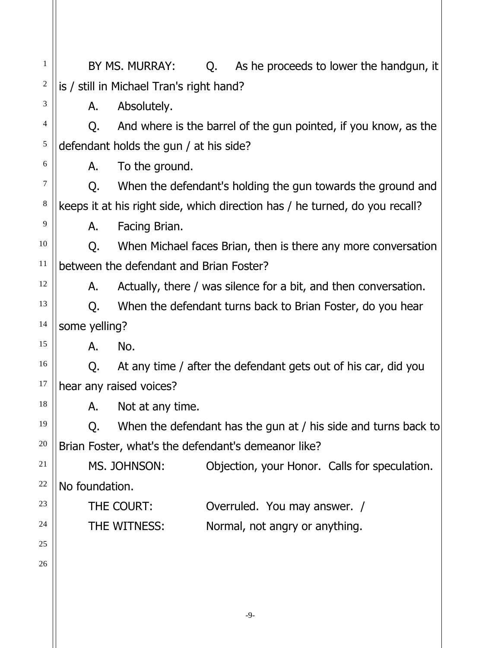1 2 3 4 5 6 7 8 9 10 11 12 13 14 15 16 17 18 19 20 21 22 23 24 25 26 BY MS. MURRAY: Q. As he proceeds to lower the handgun, it is / still in Michael Tran's right hand? A. Absolutely. Q. And where is the barrel of the gun pointed, if you know, as the defendant holds the gun / at his side? A. To the ground. Q. When the defendant's holding the gun towards the ground and keeps it at his right side, which direction has / he turned, do you recall? A. Facing Brian. Q. When Michael faces Brian, then is there any more conversation between the defendant and Brian Foster? A. Actually, there / was silence for a bit, and then conversation. Q. When the defendant turns back to Brian Foster, do you hear some yelling? A. No. Q. At any time / after the defendant gets out of his car, did you hear any raised voices? A. Not at any time. Q. When the defendant has the gun at / his side and turns back to Brian Foster, what's the defendant's demeanor like? MS. JOHNSON: Objection, your Honor. Calls for speculation. No foundation. THE COURT: Overruled. You may answer. / THE WITNESS: Normal, not angry or anything.

-9-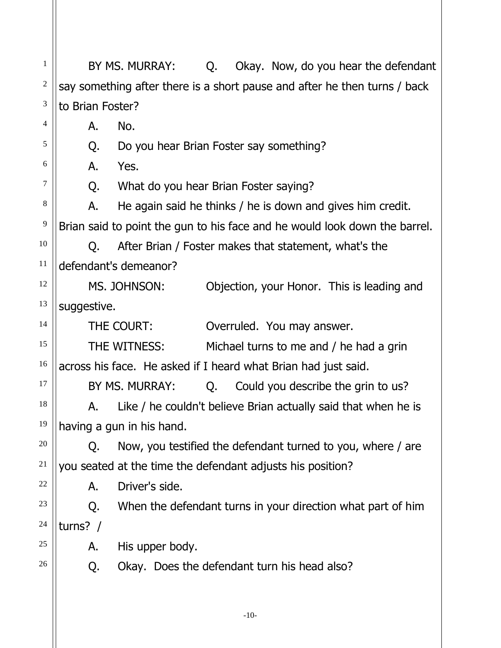1 2 3 4 5 6 7 8 9 10 11 12 13 14 15 16 17 18 19 20 21 22 23 24 25 26 BY MS. MURRAY: Q. Okay. Now, do you hear the defendant say something after there is a short pause and after he then turns / back to Brian Foster? A. No. Q. Do you hear Brian Foster say something? A. Yes. Q. What do you hear Brian Foster saying? A. He again said he thinks / he is down and gives him credit. Brian said to point the gun to his face and he would look down the barrel. Q. After Brian / Foster makes that statement, what's the defendant's demeanor? MS. JOHNSON: Objection, your Honor. This is leading and suggestive. THE COURT: **Overruled.** You may answer. THE WITNESS: Michael turns to me and / he had a grin across his face. He asked if I heard what Brian had just said. BY MS. MURRAY:  $Q.$  Could you describe the grin to us? A. Like / he couldn't believe Brian actually said that when he is having a gun in his hand. Q. Now, you testified the defendant turned to you, where / are you seated at the time the defendant adjusts his position? A. Driver's side. Q. When the defendant turns in your direction what part of him turns? / A. His upper body. Q. Okay. Does the defendant turn his head also?

-10-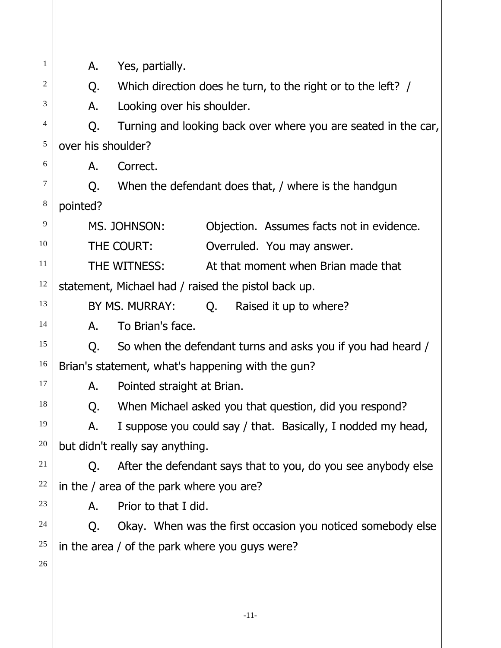| $\mathbf{1}$             | А.                                       | Yes, partially.                                                |  |  |  |
|--------------------------|------------------------------------------|----------------------------------------------------------------|--|--|--|
| 2                        | Q.                                       | Which direction does he turn, to the right or to the left? /   |  |  |  |
| 3                        | А.                                       | Looking over his shoulder.                                     |  |  |  |
| $\overline{\mathcal{L}}$ | Q.                                       | Turning and looking back over where you are seated in the car, |  |  |  |
| $\sqrt{5}$               | over his shoulder?                       |                                                                |  |  |  |
| 6                        | А.                                       | Correct.                                                       |  |  |  |
| $\tau$                   | Q.                                       | When the defendant does that, / where is the handgun           |  |  |  |
| $\,8\,$                  | pointed?                                 |                                                                |  |  |  |
| 9                        |                                          | MS. JOHNSON:<br>Objection. Assumes facts not in evidence.      |  |  |  |
| 10                       |                                          | THE COURT:<br>Overruled. You may answer.                       |  |  |  |
| 11                       |                                          | THE WITNESS:<br>At that moment when Brian made that            |  |  |  |
| 12                       |                                          | statement, Michael had / raised the pistol back up.            |  |  |  |
| 13                       |                                          | BY MS. MURRAY:<br>Q. Raised it up to where?                    |  |  |  |
| 14                       | А.                                       | To Brian's face.                                               |  |  |  |
| 15                       | Q.                                       | So when the defendant turns and asks you if you had heard /    |  |  |  |
| 16                       |                                          | Brian's statement, what's happening with the gun?              |  |  |  |
| 17                       | А.                                       | Pointed straight at Brian.                                     |  |  |  |
| 18                       | Q.                                       | When Michael asked you that question, did you respond?         |  |  |  |
| 19                       | А.                                       | I suppose you could say / that. Basically, I nodded my head,   |  |  |  |
| 20                       |                                          | but didn't really say anything.                                |  |  |  |
| 21                       | Q.                                       | After the defendant says that to you, do you see anybody else  |  |  |  |
| 22                       | in the / area of the park where you are? |                                                                |  |  |  |
| 23                       | А.                                       | Prior to that I did.                                           |  |  |  |
| 24                       | Q.                                       | Okay. When was the first occasion you noticed somebody else    |  |  |  |
| 25                       |                                          | in the area / of the park where you guys were?                 |  |  |  |
| 26                       |                                          |                                                                |  |  |  |
|                          |                                          |                                                                |  |  |  |
|                          |                                          |                                                                |  |  |  |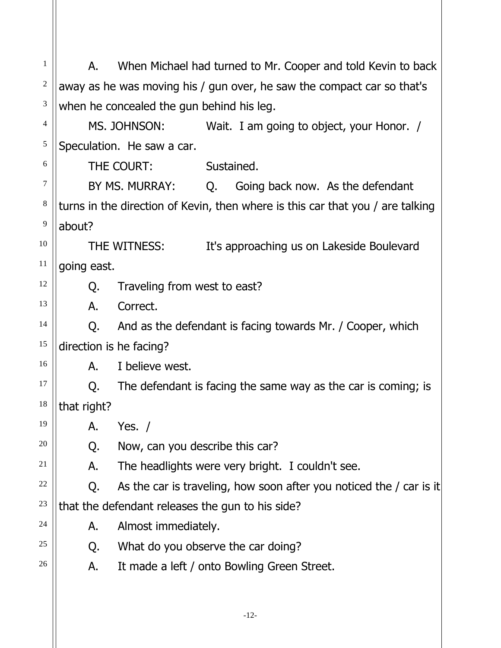1 2 3 4 5 6 7 8 9 10 11 12 13 14 15 16 17 18 19 20 21 22 23 24 25 26 A. When Michael had turned to Mr. Cooper and told Kevin to back away as he was moving his / gun over, he saw the compact car so that's when he concealed the gun behind his leg. MS. JOHNSON: Wait. I am going to object, your Honor. / Speculation. He saw a car. THE COURT: Sustained. BY MS. MURRAY: Q. Going back now. As the defendant turns in the direction of Kevin, then where is this car that you / are talking about? THE WITNESS: It's approaching us on Lakeside Boulevard going east. Q. Traveling from west to east? A. Correct. Q. And as the defendant is facing towards Mr. / Cooper, which direction is he facing? A. I believe west. Q. The defendant is facing the same way as the car is coming; is that right? A. Yes. / Q. Now, can you describe this car? A. The headlights were very bright. I couldn't see. Q. As the car is traveling, how soon after you noticed the / car is it that the defendant releases the gun to his side? A. Almost immediately. Q. What do you observe the car doing? A. It made a left / onto Bowling Green Street.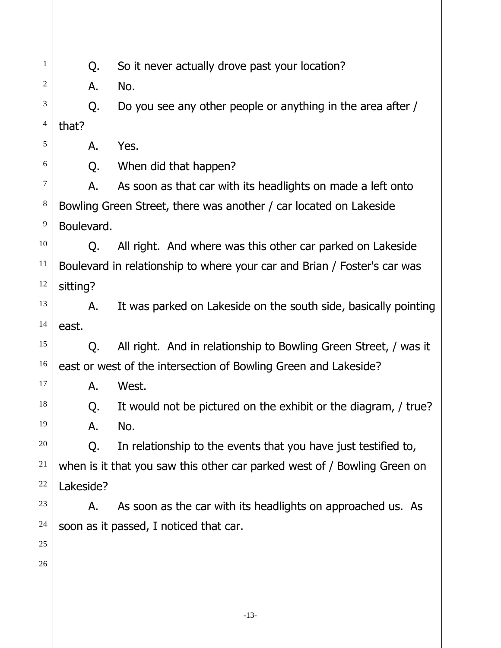| 1                        | Q.         | So it never actually drove past your location?                           |
|--------------------------|------------|--------------------------------------------------------------------------|
| $\overline{c}$           | Α.         | No.                                                                      |
| 3                        | Q.         | Do you see any other people or anything in the area after /              |
| $\overline{\mathcal{L}}$ | that?      |                                                                          |
| 5                        | А.         | Yes.                                                                     |
| 6                        | Q.         | When did that happen?                                                    |
| $\tau$                   | А.         | As soon as that car with its headlights on made a left onto              |
| $\,8\,$                  |            | Bowling Green Street, there was another / car located on Lakeside        |
| 9                        | Boulevard. |                                                                          |
| 10                       | O.         | All right. And where was this other car parked on Lakeside               |
| 11                       |            | Boulevard in relationship to where your car and Brian / Foster's car was |
| 12                       | sitting?   |                                                                          |
| 13                       | А.         | It was parked on Lakeside on the south side, basically pointing          |
| 14                       | east.      |                                                                          |
| 15                       | O.         | All right. And in relationship to Bowling Green Street, / was it         |
| 16                       |            | east or west of the intersection of Bowling Green and Lakeside?          |
| 17                       | А.         | West.                                                                    |
| 18                       | Q.         | It would not be pictured on the exhibit or the diagram, / true?          |
| 19                       | А.         | No.                                                                      |
| 20                       | Q.         | In relationship to the events that you have just testified to,           |
| 21                       |            | when is it that you saw this other car parked west of / Bowling Green on |
| $22\,$                   | Lakeside?  |                                                                          |
| 23                       | Α.         | As soon as the car with its headlights on approached us. As              |
| 24                       |            | soon as it passed, I noticed that car.                                   |
| 25                       |            |                                                                          |
| 26                       |            |                                                                          |
|                          |            |                                                                          |
|                          |            |                                                                          |

 $\mathsf{I}$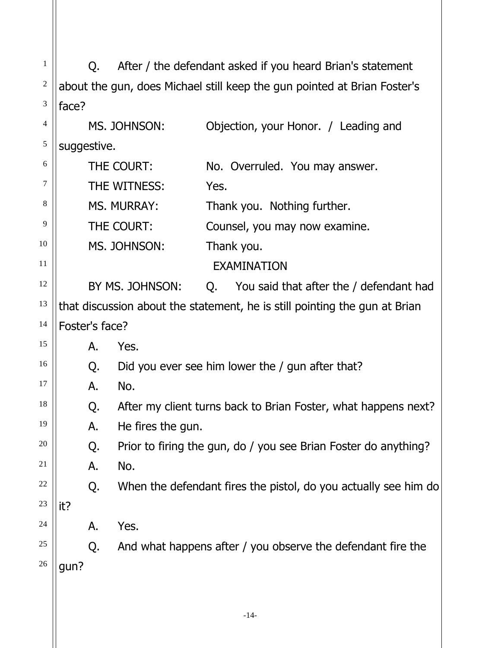| $\mathbf{1}$   | O.             |                    | After / the defendant asked if you heard Brian's statement                 |
|----------------|----------------|--------------------|----------------------------------------------------------------------------|
| $\overline{c}$ |                |                    | about the gun, does Michael still keep the gun pointed at Brian Foster's   |
| 3              | face?          |                    |                                                                            |
| $\overline{4}$ |                | MS. JOHNSON:       | Objection, your Honor. / Leading and                                       |
| 5              | suggestive.    |                    |                                                                            |
| 6              |                | THE COURT:         | No. Overruled. You may answer.                                             |
| 7              |                | THE WITNESS:       | Yes.                                                                       |
| 8              |                | <b>MS. MURRAY:</b> | Thank you. Nothing further.                                                |
| 9              |                | THE COURT:         | Counsel, you may now examine.                                              |
| 10             |                | MS. JOHNSON:       | Thank you.                                                                 |
| 11             |                |                    | <b>EXAMINATION</b>                                                         |
| 12             |                | BY MS. JOHNSON:    | You said that after the / defendant had<br>Q.                              |
| 13             |                |                    | that discussion about the statement, he is still pointing the gun at Brian |
| 14             | Foster's face? |                    |                                                                            |
| 15             | А.             | Yes.               |                                                                            |
| 16             | Q.             |                    | Did you ever see him lower the / gun after that?                           |
| 17             | А.             | No.                |                                                                            |
| 18             | Q.             |                    | After my client turns back to Brian Foster, what happens next?             |
| 19             | А.             | He fires the gun.  |                                                                            |
| 20             | Q.             |                    | Prior to firing the gun, do / you see Brian Foster do anything?            |
| 21             | A.             | No.                |                                                                            |
| 22             | Q.             |                    | When the defendant fires the pistol, do you actually see him do            |
| 23             | it?            |                    |                                                                            |
| 24             | A.             | Yes.               |                                                                            |
| 25             | Q.             |                    | And what happens after / you observe the defendant fire the                |
| 26             | gun?           |                    |                                                                            |
|                |                |                    |                                                                            |
|                |                |                    | $-14-$                                                                     |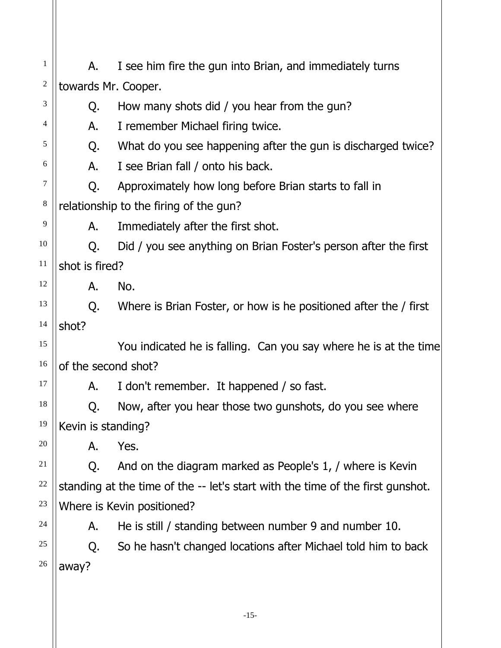| 1                       | I see him fire the gun into Brian, and immediately turns<br>А. |                                                                                |  |  |
|-------------------------|----------------------------------------------------------------|--------------------------------------------------------------------------------|--|--|
| $\overline{\mathbf{c}}$ | towards Mr. Cooper.                                            |                                                                                |  |  |
| 3                       | Q.                                                             | How many shots did / you hear from the gun?                                    |  |  |
| 4                       | А.                                                             | I remember Michael firing twice.                                               |  |  |
| 5                       | Q.                                                             | What do you see happening after the gun is discharged twice?                   |  |  |
| 6                       | А.                                                             | I see Brian fall / onto his back.                                              |  |  |
| 7                       | Q.                                                             | Approximately how long before Brian starts to fall in                          |  |  |
| 8                       |                                                                | relationship to the firing of the gun?                                         |  |  |
| 9                       | А.                                                             | Immediately after the first shot.                                              |  |  |
| 10                      | Q.                                                             | Did / you see anything on Brian Foster's person after the first                |  |  |
| 11                      | shot is fired?                                                 |                                                                                |  |  |
| 12                      | А.                                                             | No.                                                                            |  |  |
| 13                      | Q.                                                             | Where is Brian Foster, or how is he positioned after the / first               |  |  |
| 14                      | shot?                                                          |                                                                                |  |  |
| 15                      |                                                                | You indicated he is falling. Can you say where he is at the time               |  |  |
| 16                      | of the second shot?                                            |                                                                                |  |  |
| 17                      | А.                                                             | I don't remember. It happened / so fast.                                       |  |  |
| 18                      | Q.                                                             | Now, after you hear those two gunshots, do you see where                       |  |  |
| 19                      | Kevin is standing?                                             |                                                                                |  |  |
| 20                      | Α.                                                             | Yes.                                                                           |  |  |
| 21                      | O.                                                             | And on the diagram marked as People's 1, / where is Kevin                      |  |  |
| $22\,$                  |                                                                | standing at the time of the -- let's start with the time of the first gunshot. |  |  |
| 23                      |                                                                | Where is Kevin positioned?                                                     |  |  |
| 24                      | A.                                                             | He is still / standing between number 9 and number 10.                         |  |  |
| 25                      | Q.                                                             | So he hasn't changed locations after Michael told him to back                  |  |  |
| 26                      | away?                                                          |                                                                                |  |  |
|                         |                                                                |                                                                                |  |  |
|                         |                                                                | $-15-$                                                                         |  |  |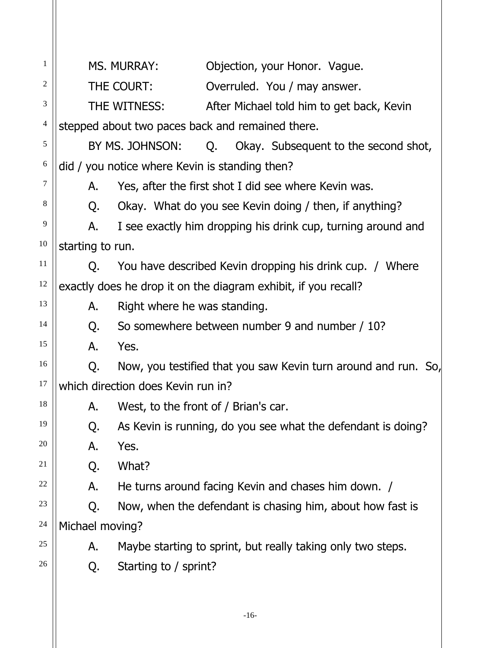| $\mathbf{1}$     |                                    | MS. MURRAY:<br>Objection, your Honor. Vague.                   |  |  |
|------------------|------------------------------------|----------------------------------------------------------------|--|--|
| 2                |                                    | THE COURT:<br>Overruled. You / may answer.                     |  |  |
| 3                |                                    | THE WITNESS:<br>After Michael told him to get back, Kevin      |  |  |
| $\overline{4}$   |                                    | stepped about two paces back and remained there.               |  |  |
| 5                |                                    | BY MS. JOHNSON:<br>Q. Okay. Subsequent to the second shot,     |  |  |
| $\boldsymbol{6}$ |                                    | did / you notice where Kevin is standing then?                 |  |  |
| 7                | А.                                 | Yes, after the first shot I did see where Kevin was.           |  |  |
| $\,8\,$          | Q.                                 | Okay. What do you see Kevin doing / then, if anything?         |  |  |
| 9                | А.                                 | I see exactly him dropping his drink cup, turning around and   |  |  |
| 10               | starting to run.                   |                                                                |  |  |
| 11               | O.                                 | You have described Kevin dropping his drink cup. / Where       |  |  |
| 12               |                                    | exactly does he drop it on the diagram exhibit, if you recall? |  |  |
| 13               | А.                                 | Right where he was standing.                                   |  |  |
| 14               | Q.                                 | So somewhere between number 9 and number / 10?                 |  |  |
| 15               | А.                                 | Yes.                                                           |  |  |
| 16               | Q.                                 | Now, you testified that you saw Kevin turn around and run. So, |  |  |
| 17               | which direction does Kevin run in? |                                                                |  |  |
| 18               | Α.                                 | West, to the front of / Brian's car.                           |  |  |
| 19               | Q.                                 | As Kevin is running, do you see what the defendant is doing?   |  |  |
| 20               | А.                                 | Yes.                                                           |  |  |
| 21               | Q.                                 | What?                                                          |  |  |
| 22               | А.                                 | He turns around facing Kevin and chases him down. /            |  |  |
| 23               | Q.                                 | Now, when the defendant is chasing him, about how fast is      |  |  |
| 24               | Michael moving?                    |                                                                |  |  |
| 25               | А.                                 | Maybe starting to sprint, but really taking only two steps.    |  |  |
| 26               | Q.                                 | Starting to / sprint?                                          |  |  |
|                  |                                    |                                                                |  |  |
|                  |                                    |                                                                |  |  |